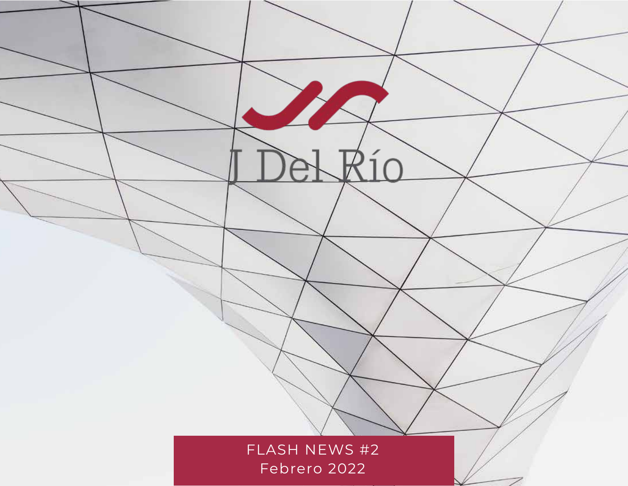FLASH NEWS #2 Febrero 2022

Z

 $R$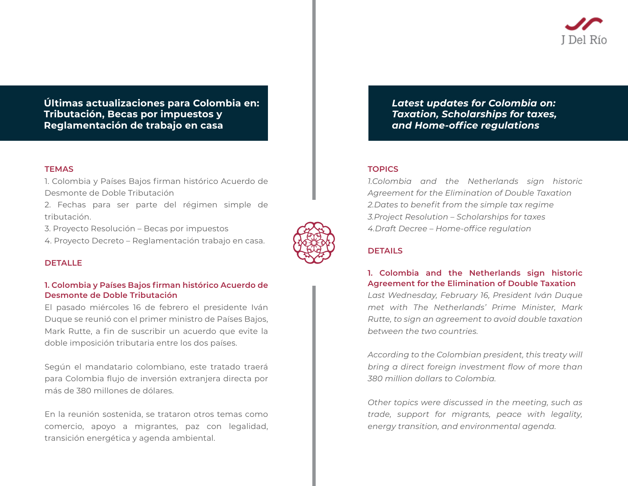**Últimas actualizaciones para Colombia en: Tributación, Becas por impuestos y Reglamentación de trabajo en casa**

## **TEMAS**

1. Colombia y Países Bajos firman histórico Acuerdo de Desmonte de Doble Tributación

2. Fechas para ser parte del régimen simple de tributación.

3. Proyecto Resolución – Becas por impuestos

4. Proyecto Decreto – Reglamentación trabajo en casa.



## **DETALLE**

# **1. Colombia y Países Bajos firman histórico Acuerdo de Desmonte de Doble Tributación**

El pasado miércoles 16 de febrero el presidente Iván Duque se reunió con el primer ministro de Países Bajos, Mark Rutte, a fin de suscribir un acuerdo que evite la doble imposición tributaria entre los dos países.

Según el mandatario colombiano, este tratado traerá para Colombia flujo de inversión extranjera directa por más de 380 millones de dólares.

En la reunión sostenida, se trataron otros temas como comercio, apoyo a migrantes, paz con legalidad, transición energética y agenda ambiental.

*Latest updates for Colombia on: Taxation, Scholarships for taxes, and Home-office regulations*

# **TOPICS**

*1.Colombia and the Netherlands sign historic Agreement for the Elimination of Double Taxation 2.Dates to benefit from the simple tax regime 3.Project Resolution – Scholarships for taxes 4.Draft Decree – Home-office regulation*

# **DETAILS**

**1. Colombia and the Netherlands sign historic Agreement for the Elimination of Double Taxation** *Last Wednesday, February 16, President Iván Duque met with The Netherlands' Prime Minister, Mark Rutte, to sign an agreement to avoid double taxation between the two countries.*

*According to the Colombian president, this treaty will bring a direct foreign investment flow of more than 380 million dollars to Colombia.*

*Other topics were discussed in the meeting, such as trade, support for migrants, peace with legality, energy transition, and environmental agenda.*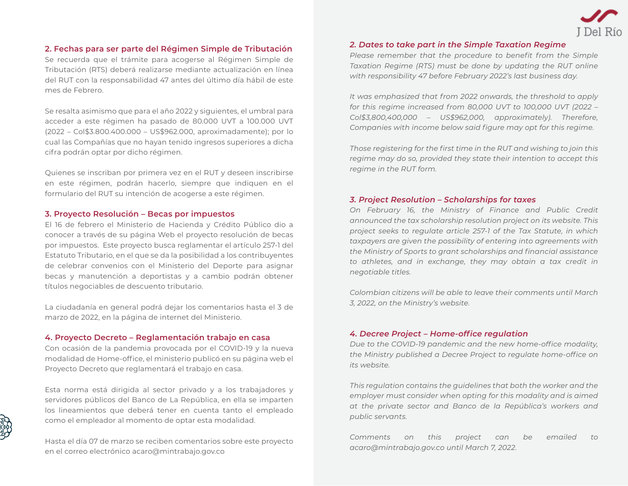

# **2. Fechas para ser parte del Régimen Simple de Tributación**

Se recuerda que el trámite para acogerse al Régimen Simple de Tributación (RTS) deberá realizarse mediante actualización en línea del RUT con la responsabilidad 47 antes del último día hábil de este mes de Febrero.

Se resalta asimismo que para el año 2022 y siguientes, el umbral para acceder a este régimen ha pasado de 80.000 UVT a 100.000 UVT (2022 – Col\$3.800.400.000 – US\$962.000, aproximadamente); por lo cual las Compañías que no hayan tenido ingresos superiores a dicha cifra podrán optar por dicho régimen.

Quienes se inscriban por primera vez en el RUT y deseen inscribirse en este régimen, podrán hacerlo, siempre que indiquen en el formulario del RUT su intención de acogerse a este régimen.

#### **3. Proyecto Resolución – Becas por impuestos**

El 16 de febrero el Ministerio de Hacienda y Crédito Público dio a conocer a través de su página Web el proyecto resolución de becas por impuestos. Este proyecto busca reglamentar el artículo 257-1 del Estatuto Tributario, en el que se da la posibilidad a los contribuyentes de celebrar convenios con el Ministerio del Deporte para asignar becas y manutención a deportistas y a cambio podrán obtener títulos negociables de descuento tributario.

La ciudadanía en general podrá dejar los comentarios hasta el 3 de marzo de 2022, en la página de internet del Ministerio.

#### **4. Proyecto Decreto – Reglamentación trabajo en casa**

Con ocasión de la pandemia provocada por el COVID-19 y la nueva modalidad de Home-office, el ministerio publicó en su página web el Proyecto Decreto que reglamentará el trabajo en casa.

Esta norma está dirigida al sector privado y a los trabajadores y servidores públicos del Banco de La República, en ella se imparten los lineamientos que deberá tener en cuenta tanto el empleado como el empleador al momento de optar esta modalidad.

Hasta el día 07 de marzo se reciben comentarios sobre este proyecto en el correo electrónico acaro@mintrabajo.gov.co

### *2. Dates to take part in the Simple Taxation Regime*

*Please remember that the procedure to benefit from the Simple Taxation Regime (RTS) must be done by updating the RUT online with responsibility 47 before February 2022's last business day.*

*It was emphasized that from 2022 onwards, the threshold to apply for this regime increased from 80,000 UVT to 100,000 UVT (2022 – Col\$3,800,400,000 – US\$962,000, approximately). Therefore, Companies with income below said figure may opt for this regime.*

*Those registering for the first time in the RUT and wishing to join this regime may do so, provided they state their intention to accept this regime in the RUT form.*

### *3. Project Resolution – Scholarships for taxes*

*On February 16, the Ministry of Finance and Public Credit announced the tax scholarship resolution project on its website. This project seeks to regulate article 257-1 of the Tax Statute, in which taxpayers are given the possibility of entering into agreements with the Ministry of Sports to grant scholarships and financial assistance to athletes, and in exchange, they may obtain a tax credit in negotiable titles.*

*Colombian citizens will be able to leave their comments until March 3, 2022, on the Ministry's website.*

### *4. Decree Project – Home-office regulation*

*Due to the COVID-19 pandemic and the new home-office modality, the Ministry published a Decree Project to regulate home-office on its website.*

*This regulation contains the guidelines that both the worker and the employer must consider when opting for this modality and is aimed at the private sector and Banco de la República's workers and public servants.*

*Comments on this project can be emailed to acaro@mintrabajo.gov.co until March 7, 2022.*